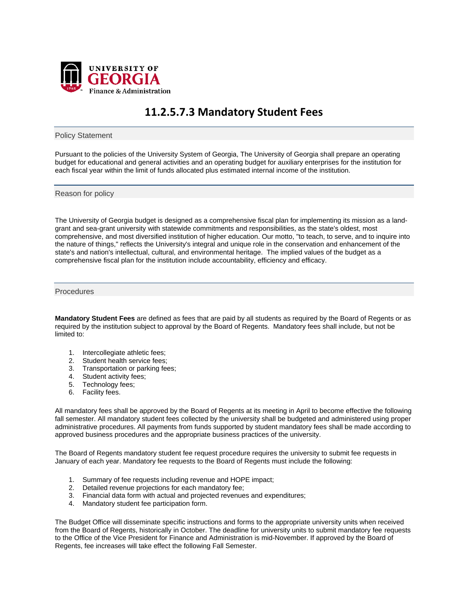

## **11.2.5.7.3 Mandatory Student Fees**

Policy Statement

Pursuant to the policies of the University System of Georgia, The University of Georgia shall prepare an operating budget for educational and general activities and an operating budget for auxiliary enterprises for the institution for each fiscal year within the limit of funds allocated plus estimated internal income of the institution.

Reason for policy

The University of Georgia budget is designed as a comprehensive fiscal plan for implementing its mission as a landgrant and sea-grant university with statewide commitments and responsibilities, as the state's oldest, most comprehensive, and most diversified institution of higher education. Our motto, "to teach, to serve, and to inquire into the nature of things," reflects the University's integral and unique role in the conservation and enhancement of the state's and nation's intellectual, cultural, and environmental heritage. The implied values of the budget as a comprehensive fiscal plan for the institution include accountability, efficiency and efficacy.

Procedures

**Mandatory Student Fees** are defined as fees that are paid by all students as required by the Board of Regents or as required by the institution subject to approval by the Board of Regents. Mandatory fees shall include, but not be limited to:

- 1. Intercollegiate athletic fees;
- 2. Student health service fees;
- 3. Transportation or parking fees;
- 4. Student activity fees;
- 5. Technology fees;
- 6. Facility fees.

All mandatory fees shall be approved by the Board of Regents at its meeting in April to become effective the following fall semester. All mandatory student fees collected by the university shall be budgeted and administered using proper administrative procedures. All payments from funds supported by student mandatory fees shall be made according to approved business procedures and the appropriate business practices of the university.

The Board of Regents mandatory student fee request procedure requires the university to submit fee requests in January of each year. Mandatory fee requests to the Board of Regents must include the following:

- 1. Summary of fee requests including revenue and HOPE impact;
- 2. Detailed revenue projections for each mandatory fee;
- 3. Financial data form with actual and projected revenues and expenditures;
- 4. Mandatory student fee participation form.

The Budget Office will disseminate specific instructions and forms to the appropriate university units when received from the Board of Regents, historically in October. The deadline for university units to submit mandatory fee requests to the Office of the Vice President for Finance and Administration is mid-November. If approved by the Board of Regents, fee increases will take effect the following Fall Semester.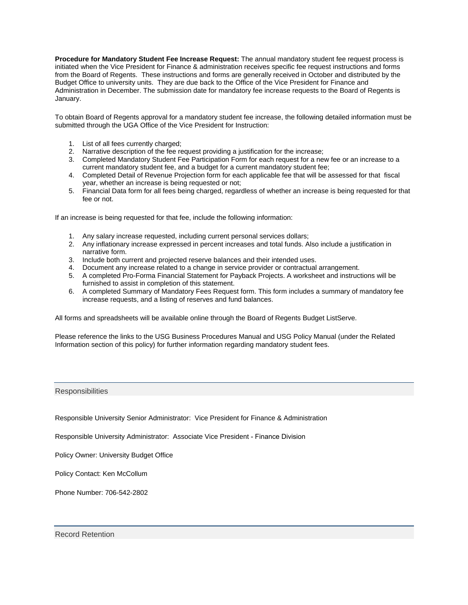**Procedure for Mandatory Student Fee Increase Request:** The annual mandatory student fee request process is initiated when the Vice President for Finance & administration receives specific fee request instructions and forms from the Board of Regents. These instructions and forms are generally received in October and distributed by the Budget Office to university units. They are due back to the Office of the Vice President for Finance and Administration in December. The submission date for mandatory fee increase requests to the Board of Regents is January.

To obtain Board of Regents approval for a mandatory student fee increase, the following detailed information must be submitted through the UGA Office of the Vice President for Instruction:

- 1. List of all fees currently charged;
- 2. Narrative description of the fee request providing a justification for the increase;
- 3. Completed Mandatory Student Fee Participation Form for each request for a new fee or an increase to a current mandatory student fee, and a budget for a current mandatory student fee;
- 4. Completed Detail of Revenue Projection form for each applicable fee that will be assessed for that fiscal year, whether an increase is being requested or not;
- 5. Financial Data form for all fees being charged, regardless of whether an increase is being requested for that fee or not.

If an increase is being requested for that fee, include the following information:

- 1. Any salary increase requested, including current personal services dollars;
- 2. Any inflationary increase expressed in percent increases and total funds. Also include a justification in narrative form.
- 3. Include both current and projected reserve balances and their intended uses.
- 4. Document any increase related to a change in service provider or contractual arrangement.
- 5. A completed Pro-Forma Financial Statement for Payback Projects. A worksheet and instructions will be furnished to assist in completion of this statement.
- 6. A completed Summary of Mandatory Fees Request form. This form includes a summary of mandatory fee increase requests, and a listing of reserves and fund balances.

All forms and spreadsheets will be available online through the Board of Regents Budget ListServe.

Please reference the links to the USG Business Procedures Manual and USG Policy Manual (under the Related Information section of this policy) for further information regarding mandatory student fees.

## **Responsibilities**

Responsible University Senior Administrator: Vice President for Finance & Administration

Responsible University Administrator: Associate Vice President - Finance Division

Policy Owner: University Budget Office

Policy Contact: Ken McCollum

Phone Number: 706-542-2802